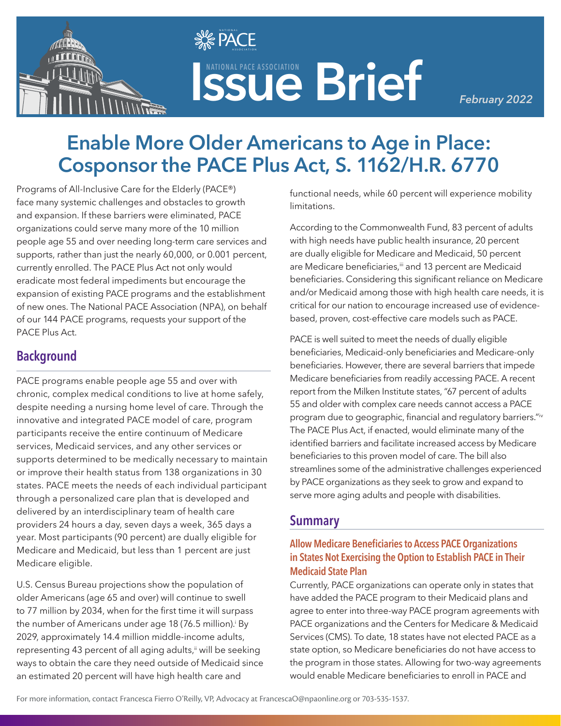

# **ISSUE Brief ASSOCIATION**

*February 2022*

# **Enable More Older Americans to Age in Place: Cosponsor the PACE Plus Act, S. 1162/H.R. 6770**

**SE PACE**  $\mathbf{v}$   $\mathbf{v}$   $\mathbf{v}$  association

Programs of All-Inclusive Care for the Elderly (PACE®) face many systemic challenges and obstacles to growth and expansion. If these barriers were eliminated, PACE organizations could serve many more of the 10 million people age 55 and over needing long-term care services and supports, rather than just the nearly 60,000, or 0.001 percent, currently enrolled. The PACE Plus Act not only would eradicate most federal impediments but encourage the expansion of existing PACE programs and the establishment of new ones. The National PACE Association (NPA), on behalf of our 144 PACE programs, requests your support of the PACE Plus Act.

# **Background**

PACE programs enable people age 55 and over with chronic, complex medical conditions to live at home safely, despite needing a nursing home level of care. Through the innovative and integrated PACE model of care, program participants receive the entire continuum of Medicare services, Medicaid services, and any other services or supports determined to be medically necessary to maintain or improve their health status from 138 organizations in 30 states. PACE meets the needs of each individual participant through a personalized care plan that is developed and delivered by an interdisciplinary team of health care providers 24 hours a day, seven days a week, 365 days a year. Most participants (90 percent) are dually eligible for Medicare and Medicaid, but less than 1 percent are just Medicare eligible.

U.S. Census Bureau projections show the population of older Americans (age 65 and over) will continue to swell to 77 million by 2034, when for the first time it will surpass the number of Americans under age 18 (76.5 million).<sup>i</sup> By 2029, approximately 14.4 million middle-income adults, representing 43 percent of all aging adults,<sup>ii</sup> will be seeking ways to obtain the care they need outside of Medicaid since an estimated 20 percent will have high health care and

functional needs, while 60 percent will experience mobility limitations.

According to the Commonwealth Fund, 83 percent of adults with high needs have public health insurance, 20 percent are dually eligible for Medicare and Medicaid, 50 percent are Medicare beneficiaries,<sup>ii</sup> and 13 percent are Medicaid beneficiaries. Considering this significant reliance on Medicare and/or Medicaid among those with high health care needs, it is critical for our nation to encourage increased use of evidencebased, proven, cost-effective care models such as PACE.

PACE is well suited to meet the needs of dually eligible beneficiaries, Medicaid-only beneficiaries and Medicare-only beneficiaries. However, there are several barriers that impede Medicare beneficiaries from readily accessing PACE. A recent report from the Milken Institute states, "67 percent of adults 55 and older with complex care needs cannot access a PACE program due to geographic, financial and regulatory barriers."iv The PACE Plus Act, if enacted, would eliminate many of the identified barriers and facilitate increased access by Medicare beneficiaries to this proven model of care. The bill also streamlines some of the administrative challenges experienced by PACE organizations as they seek to grow and expand to serve more aging adults and people with disabilities.

# **Summary**

## **Allow Medicare Beneficiaries to Access PACE Organizations in States Not Exercising the Option to Establish PACE in Their Medicaid State Plan**

Currently, PACE organizations can operate only in states that have added the PACE program to their Medicaid plans and agree to enter into three-way PACE program agreements with PACE organizations and the Centers for Medicare & Medicaid Services (CMS). To date, 18 states have not elected PACE as a state option, so Medicare beneficiaries do not have access to the program in those states. Allowing for two-way agreements would enable Medicare beneficiaries to enroll in PACE and